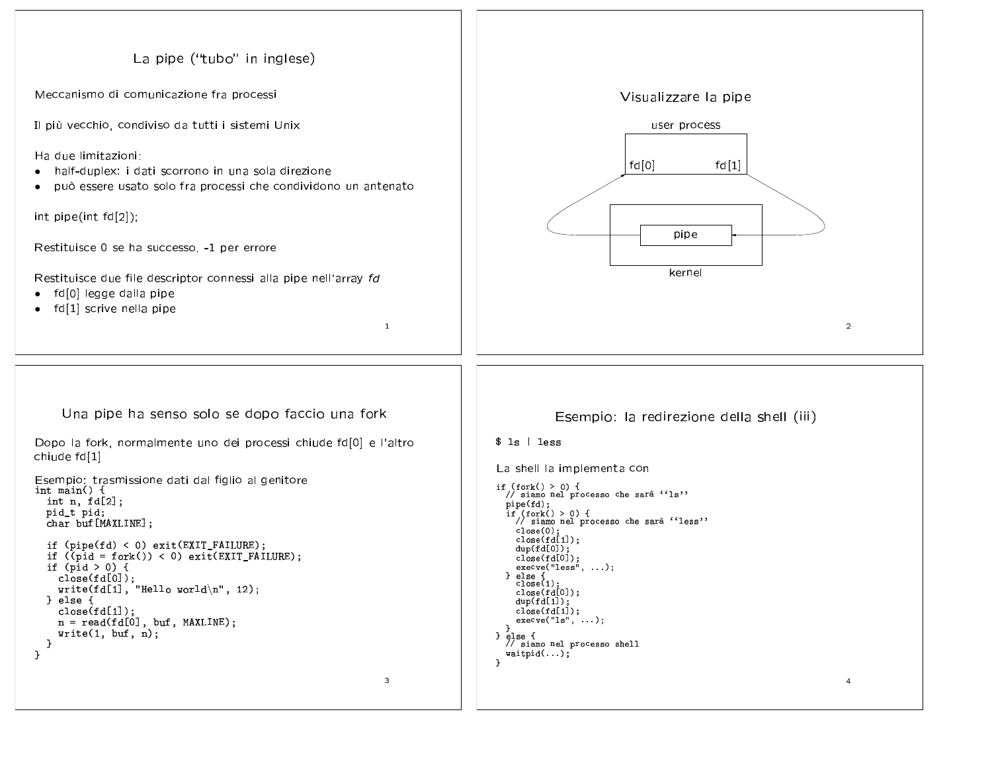```
La pipe ("tubo" in inglese)
Meccanismo di comunicazione fra processi
                                                                                                                        Visualizzare la pipe
Il più vecchio, condiviso da tutti i sistemi Unix
                                                                                                                               user process
Ha due limitazioni:
                                                                                                                          fd[0]fd[1]\bullethalf-duplex: i dati scorrono in una sola direzione
    può essere usato solo fra processi che condividono un antenato
\bulletint pipe(int fd[2]);
                                                                                                                                    pipe
Restituisce 0 se ha successo, -1 per errore
                                                                                                                                   kernel
Restituisce due file descriptor connessi alla pipe nell'array fd
   fd[0] legge dalla pipe
\bulletfd[1] scrive nella pipe
                                                                        \mathbf{1}\overline{2}Una pipe ha senso solo se dopo faccio una fork
                                                                                                           Esempio: la redirezione della shell (iii)
Dopo la fork, normalmente uno dei processi chiude fd[0] e l'altro
                                                                                               $ 1s  | 1esschiude fd[1]
                                                                                               La shell la implementa con
Esempio: trasmissione dati dal figlio al genitore<br>int main() {
                                                                                               if (fork() > 0) {<br>// siamo nel processo che sarà ''ls''
  int n, fd[2];pipe(fd);
  pid_t pid;
                                                                                                 \text{if } (fork() > 0) {<br>// siamo nel processo che sarà ''less''
  char buf [MAXLINE];
                                                                                                   close(0):
                                                                                                   close(fd[1]);if (pipe(fd) < 0) exit(EXIT_FAILURE);dup(fd[0]);if ((pid = fork()) < 0) exit(EXT_FAILURE);close(fd[0]);
  if (pid > 0) {
                                                                                                   execve("less", ...);
                                                                                                \} else {<br>close(1);
     close(fd[0]);write(fd[1], "Hello world\n", 12);
                                                                                                   \begin{array}{c} \text{close}(id[0])\,;\\ \text{dup}(fd[1])\,; \end{array}} else {
     close(fd[1]);close(fd[1]):execve("ls", ...);n = read(fd[0], but, MAXLINE);write(1, but, n);} else {
  \mathbf{B}// siamo nel processo shell
\mathbf{L}width(d...);\mathcal{F}\overline{3}\overline{4}
```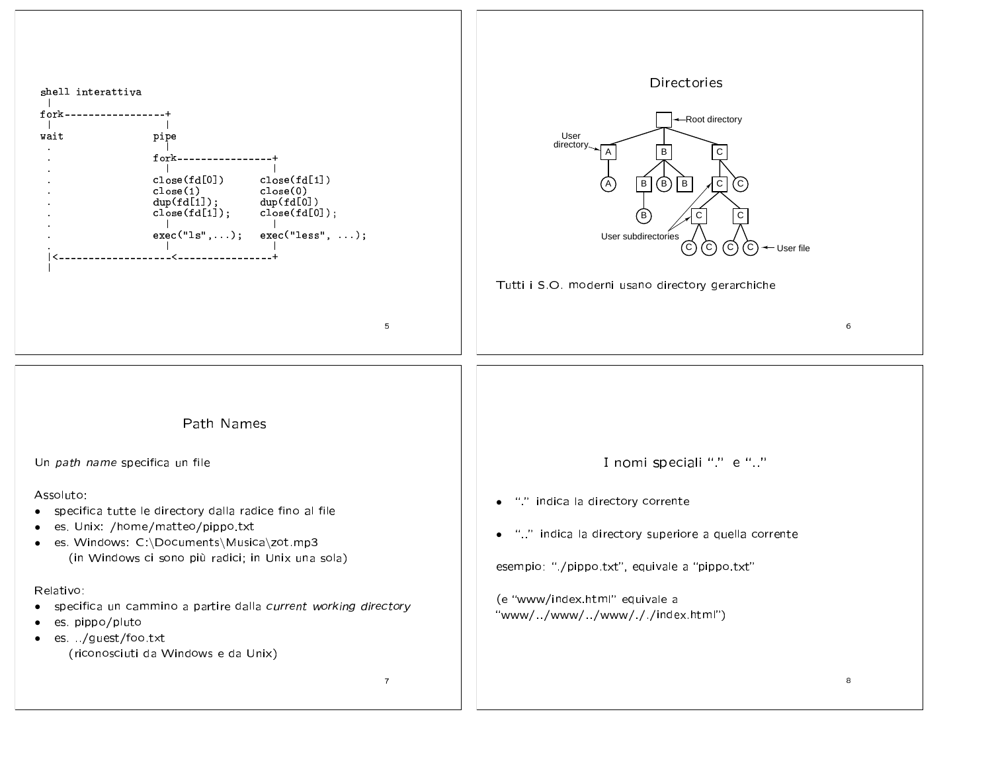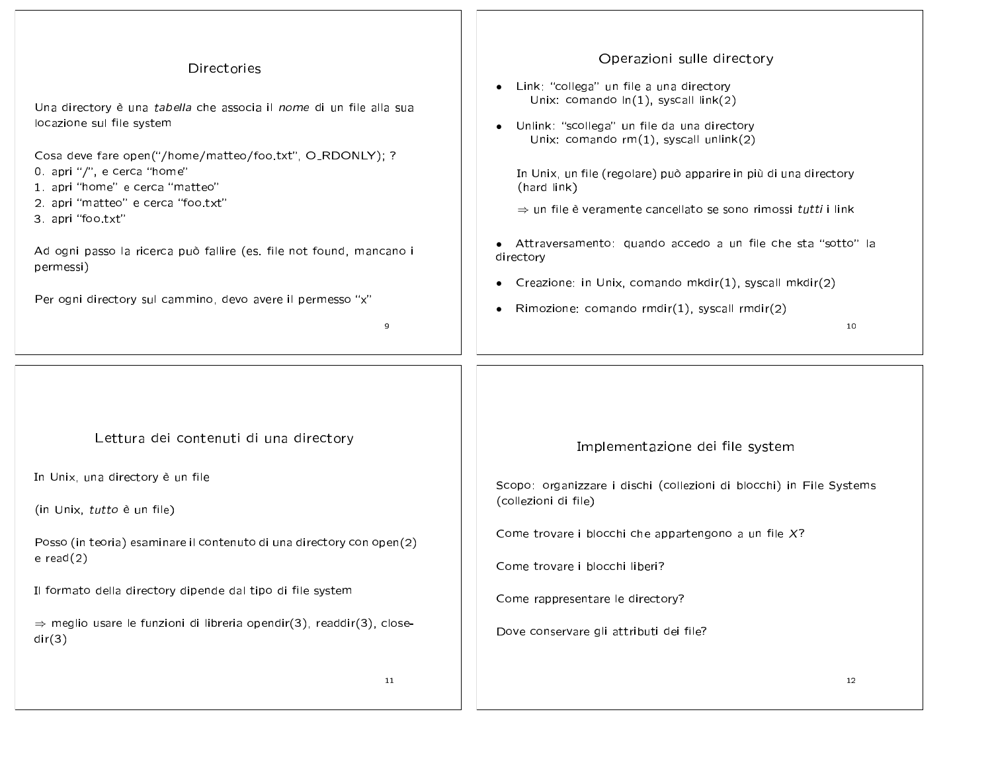| Directories                                                                                                                                                                          | Operazioni sulle directory                                                                                                                                                                                                    |  |
|--------------------------------------------------------------------------------------------------------------------------------------------------------------------------------------|-------------------------------------------------------------------------------------------------------------------------------------------------------------------------------------------------------------------------------|--|
| Una directory è una tabella che associa il nome di un file alla sua<br>locazione sul file system                                                                                     | • Link: "collega" un file a una directory<br>Unix: comando $ln(1)$ , syscall $link(2)$<br>Unlink: "scollega" un file da una directory<br>$\bullet$<br>Unix: comando rm(1), syscall unlink(2)                                  |  |
| Cosa deve fare open("/home/matteo/foo.txt", O_RDONLY); ?<br>0. apri "/", e cerca "home"<br>1. apri "home" e cerca "matteo"<br>2. apri "matteo" e cerca "foo.txt"<br>3 apri "foo txt" | In Unix, un file (regolare) può apparire in più di una directory<br>(hard link)<br>$\Rightarrow$ un file è veramente cancellato se sono rimossi tutti i link<br>• Attraversamento: quando accedo a un file che sta "sotto" la |  |
| Ad ogni passo la ricerca può fallire (es. file not found, mancano i<br>permessi)                                                                                                     | directory<br>Creazione: in Unix, comando mkdir(1), syscall mkdir(2)                                                                                                                                                           |  |
| Per ogni directory sul cammino, devo avere il permesso "x"<br>9                                                                                                                      | $\bullet$<br>Rimozione: comando rmdir(1), syscall rmdir(2)<br>$\bullet$<br>10                                                                                                                                                 |  |
| Lettura dei contenuti di una directory                                                                                                                                               | Implementazione dei file system                                                                                                                                                                                               |  |
| In Unix, una directory è un file                                                                                                                                                     | Scopo: organizzare i dischi (collezioni di blocchi) in File Systems                                                                                                                                                           |  |
| (in Unix, tutto è un file)                                                                                                                                                           | (collezioni di file)                                                                                                                                                                                                          |  |
| Posso (in teoria) esaminare il contenuto di una directory con open(2)<br>$e$ read $(2)$                                                                                              | Come trovare i blocchi che appartengono a un file $X$ ?<br>Come trovare i blocchi liberi?                                                                                                                                     |  |
|                                                                                                                                                                                      |                                                                                                                                                                                                                               |  |
| Il formato della directory dipende dal tipo di file system                                                                                                                           | Come rappresentare le directory?                                                                                                                                                                                              |  |
| $\Rightarrow$ meglio usare le funzioni di libreria opendir(3), readdir(3), close-<br>dir(3)                                                                                          | Dove conservare gli attributi dei file?                                                                                                                                                                                       |  |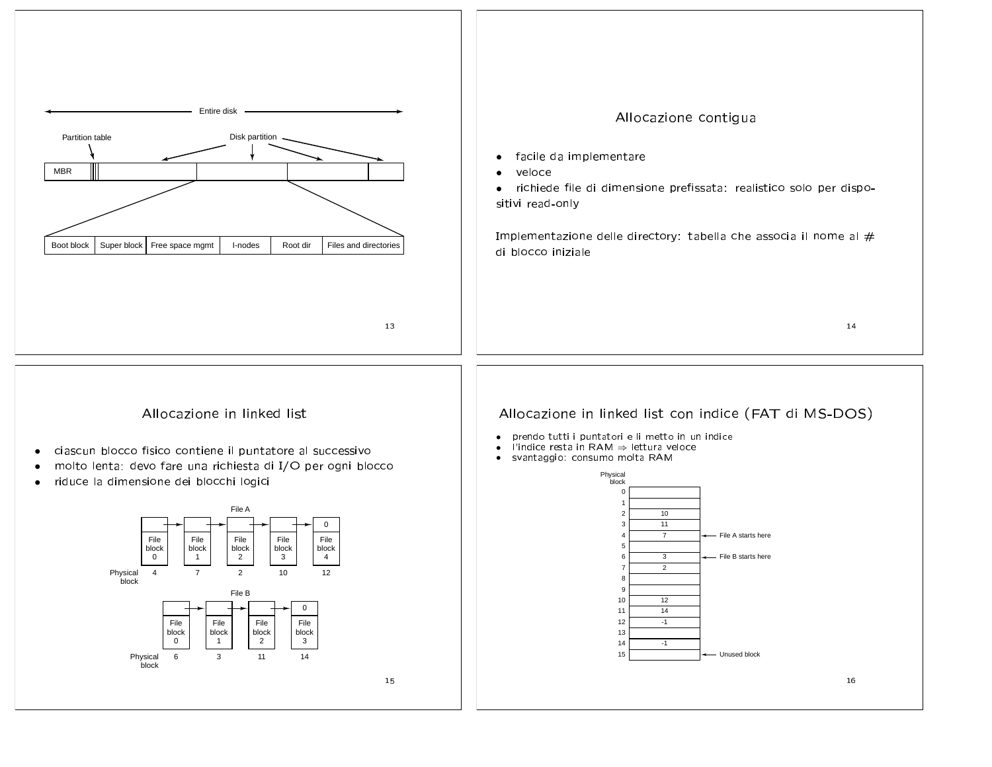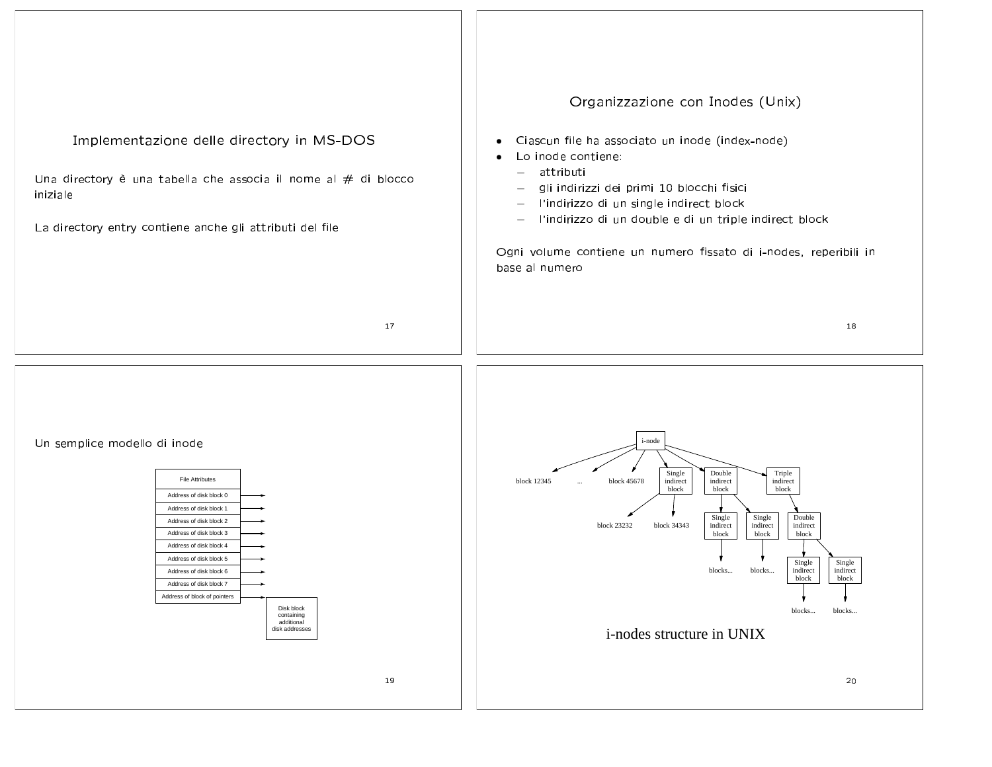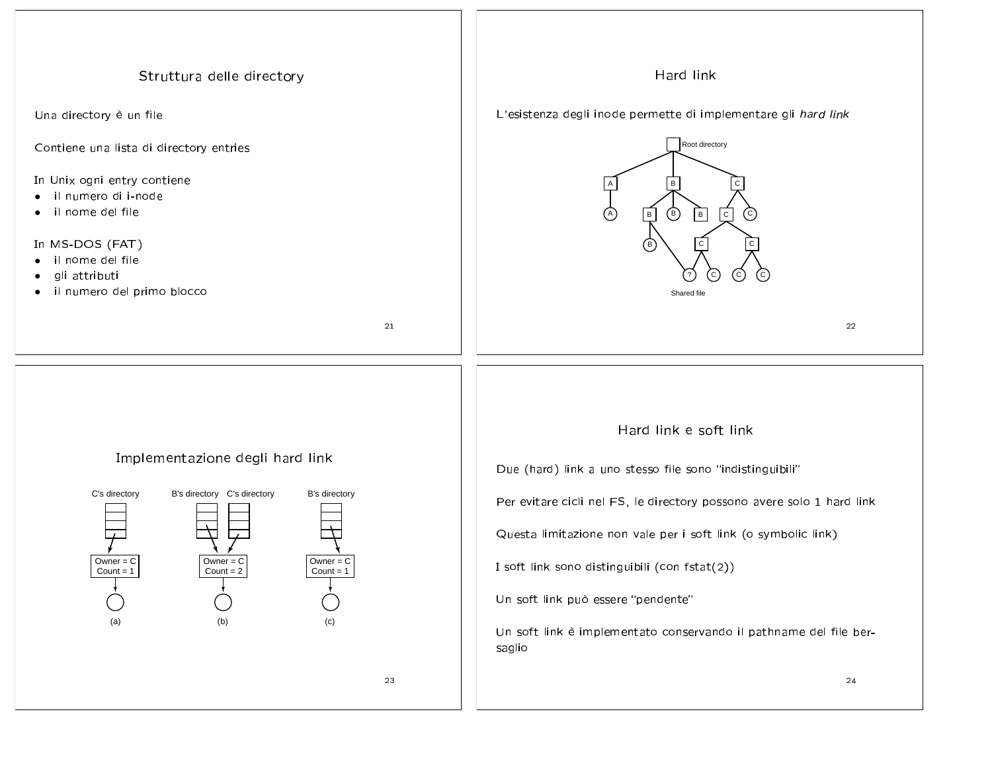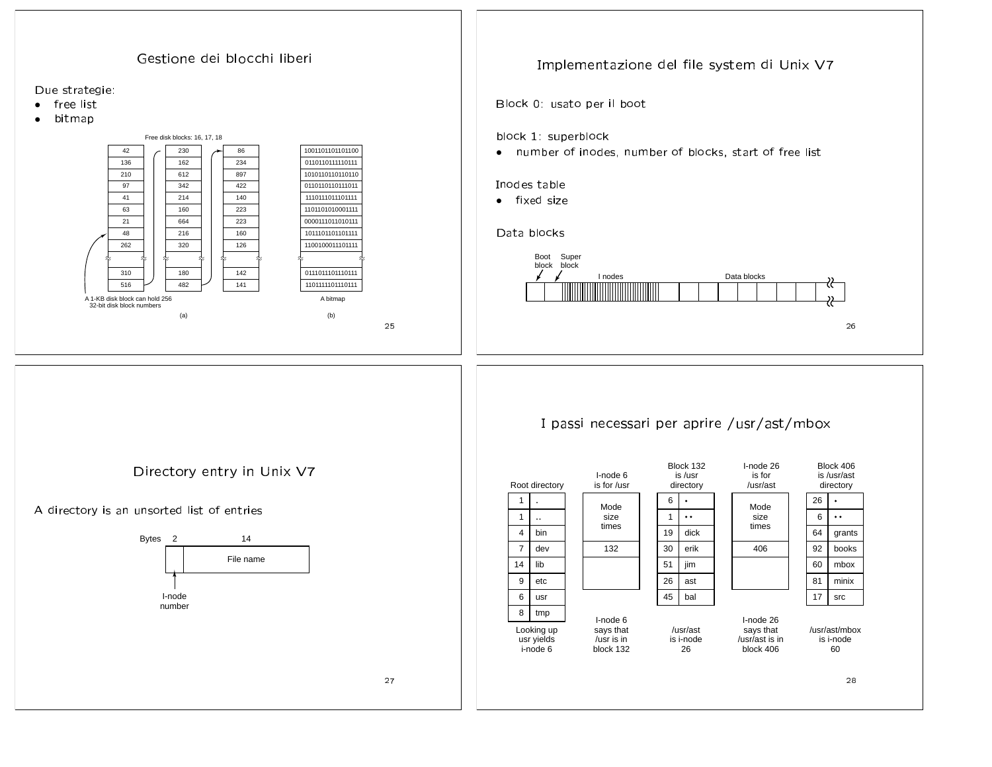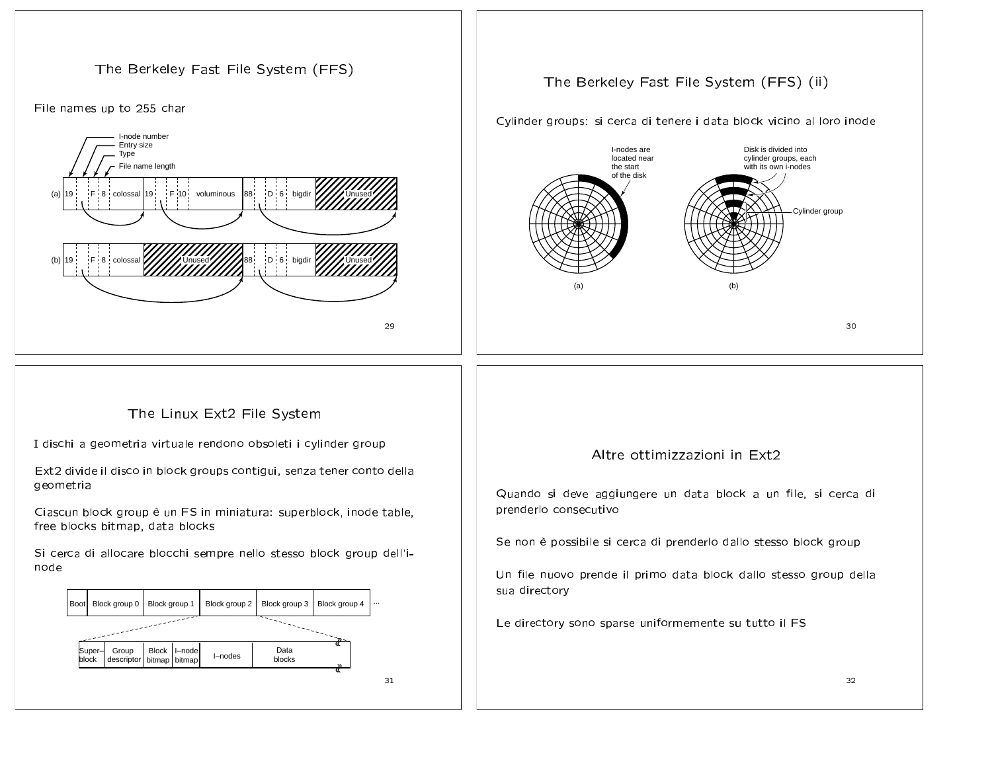





## The Berkeley Fast File System (FFS) (ii)

Cylinder groups: si cerca di tenere i data block vicino al loro inode



## The Linux Ext2 File System

I dischi a geometria virtuale rendono obsoleti i cylinder group

Ext2 divide il disco in block groups contigui, senza tener conto della geometria

Ciascun block group è un FS in miniatura: superblock, inode table, free blocks bitmap, data blocks

Si cerca di allocare blocchi sempre nello stesso block group dell'inode



## Altre ottimizzazioni in Ext2

Quando si deve aggiungere un data block a un file, si cerca di prenderlo consecutivo

Se non è possibile si cerca di prenderlo dallo stesso block group

Un file nuovo prende il primo data block dallo stesso group della sua directory

Le directory sono sparse uniformemente su tutto il FS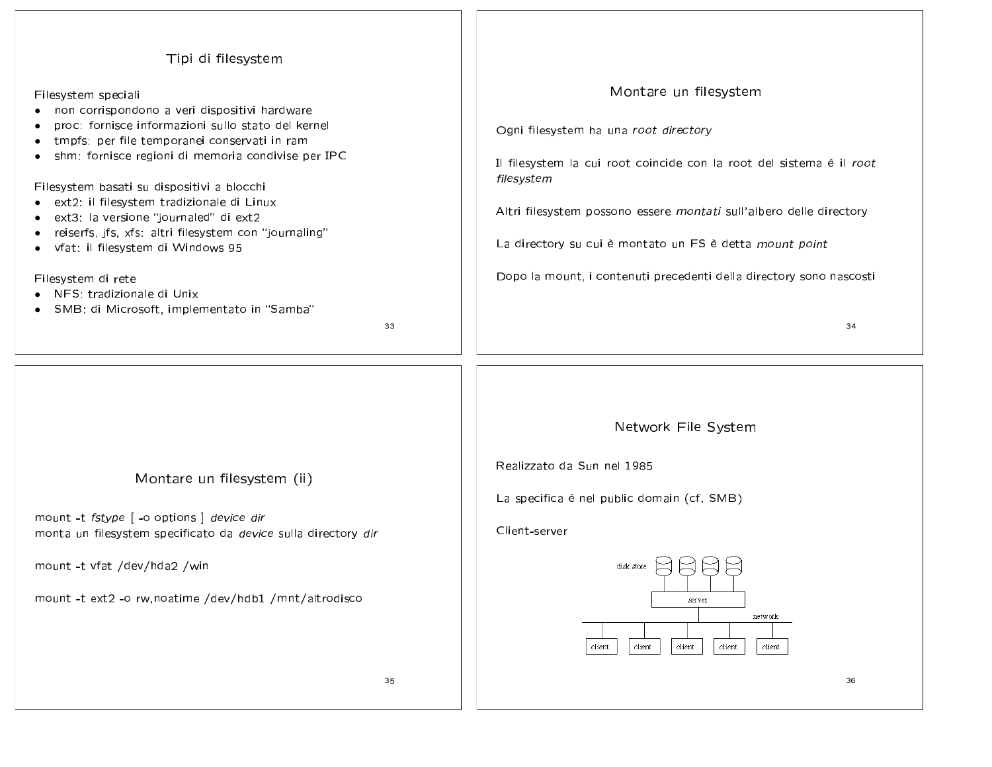| Tipi di filesystem                                                                                                                                                                                                                                                                                                                                                                                                                                                                                                                                                                             |                                                                                                                                                                                                                                                                                                                                                                     |
|------------------------------------------------------------------------------------------------------------------------------------------------------------------------------------------------------------------------------------------------------------------------------------------------------------------------------------------------------------------------------------------------------------------------------------------------------------------------------------------------------------------------------------------------------------------------------------------------|---------------------------------------------------------------------------------------------------------------------------------------------------------------------------------------------------------------------------------------------------------------------------------------------------------------------------------------------------------------------|
| Filesystem speciali<br>• non corrispondono a veri dispositivi hardware<br>proc: fornisce informazioni sullo stato del kernel<br>tmpfs: per file temporanei conservati in ram<br>$\bullet$<br>shm: fornisce regioni di memoria condivise per IPC<br>Filesystem basati su dispositivi a blocchi<br>ext2: il filesystem tradizionale di Linux<br>ext3: la versione "journaled" di ext2<br>reiserfs, jfs, xfs: altri filesystem con "journaling"<br>· vfat: il filesystem di Windows 95<br>Filesystem di rete<br>• NFS: tradizionale di Unix<br>· SMB: di Microsoft, implementato in "Samba"<br>33 | Montare un filesystem<br>Ogni filesystem ha una root directory<br>Il filesystem la cui root coincide con la root del sistema è il root<br>filesystem<br>Altri filesystem possono essere montati sull'albero delle directory<br>La directory su cui è montato un FS è detta mount point<br>Dopo la mount, i contenuti precedenti della directory sono nascosti<br>34 |
| Montare un filesystem (ii)<br>mount -t fstype [ -o options ] device dir<br>monta un filesystem specificato da device sulla directory dir<br>mount -t vfat /dev/hda2 /win<br>mount -t ext2 -o rw, noatime /dev/hdb1 /mnt/altrodisco<br>35                                                                                                                                                                                                                                                                                                                                                       | Network File System<br>Realizzato da Sun nel 1985<br>La specifica è nel public domain (cf. SMB)<br>Client-server<br>disk store<br>server<br>network<br>client<br>client<br>client<br>client<br>client<br>36                                                                                                                                                         |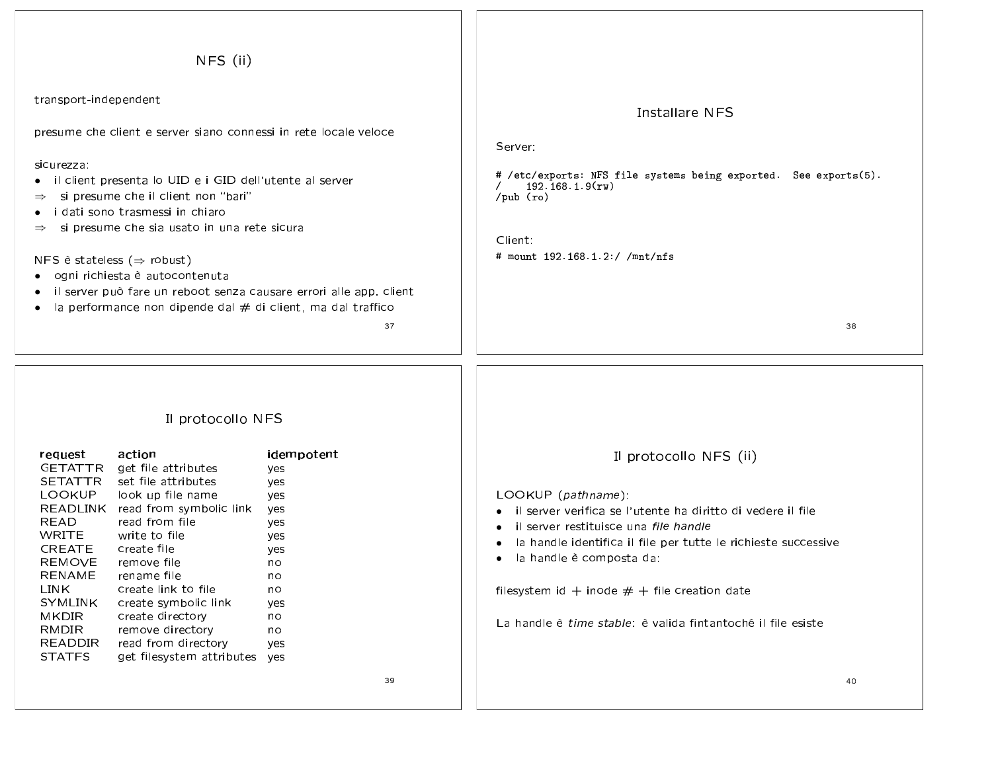| NFS (ii)                                                                                                                                                                                                                                                                                                                                                                                                                                                                                                                                                                             |                                                                                                               |                                                                                                                                                                                                                                                                                                                                                                                                                                |
|--------------------------------------------------------------------------------------------------------------------------------------------------------------------------------------------------------------------------------------------------------------------------------------------------------------------------------------------------------------------------------------------------------------------------------------------------------------------------------------------------------------------------------------------------------------------------------------|---------------------------------------------------------------------------------------------------------------|--------------------------------------------------------------------------------------------------------------------------------------------------------------------------------------------------------------------------------------------------------------------------------------------------------------------------------------------------------------------------------------------------------------------------------|
| transport-independent                                                                                                                                                                                                                                                                                                                                                                                                                                                                                                                                                                |                                                                                                               | Installare NFS                                                                                                                                                                                                                                                                                                                                                                                                                 |
| presume che client e server siano connessi in rete locale veloce<br>sicurezza:<br>il client presenta lo UID e i GID dell'utente al server<br>si presume che il client non "bari"<br>$\Rightarrow$<br>i dati sono trasmessi in chiaro<br>si presume che sia usato in una rete sicura<br>$\Rightarrow$<br>NFS è stateless ( $\Rightarrow$ robust)<br>ogni richiesta è autocontenuta<br>il server può fare un reboot senza causare errori alle app. client<br>la performance non dipende dal $#$ di client, ma dal traffico                                                             | 37                                                                                                            | Server:<br># /etc/exports: NFS file systems being exported. See exports(5).<br>192.168.1.9(rw)<br>$/\text{pub}$ (ro)<br>Client:<br># mount $192.168.1.2$ ://mnt/nfs<br>38                                                                                                                                                                                                                                                      |
| Il protocollo NFS<br>action<br>request<br>GETATTR<br>get file attributes<br>SETATTR<br>set file attributes<br><b>LOOKUP</b><br>look up file name<br>READLINK read from symbolic link<br><b>READ</b><br>read from file<br><b>WRITE</b><br>write to file<br><b>CREATE</b><br>create file<br><b>REMOVE</b><br>remove file<br><b>RENAME</b><br>rename file<br>LINK<br>create link to file<br><b>SYMLINK</b><br>create symbolic link<br>MKDIR<br>create directory<br><b>RMDIR</b><br>remove directory<br>READDIR<br>read from directory<br><b>STATFS</b><br>get filesystem attributes yes | idempotent<br>yes<br>yes<br>yes<br>yes<br>yes<br>yes<br>yes<br>no<br>no<br>no<br>yes<br>no<br>no<br>yes<br>39 | Il protocollo NFS (ii)<br>LOOKUP (pathname):<br>il server verifica se l'utente ha diritto di vedere il file<br>$\bullet$<br>il server restituisce una file handle<br>$\bullet$<br>la handle identifica il file per tutte le richieste successive<br>$\bullet$<br>la handle è composta da:<br>$\bullet$<br>filesystem id + inode $#$ + file creation date<br>La handle è time stable: è valida fintantoché il file esiste<br>40 |